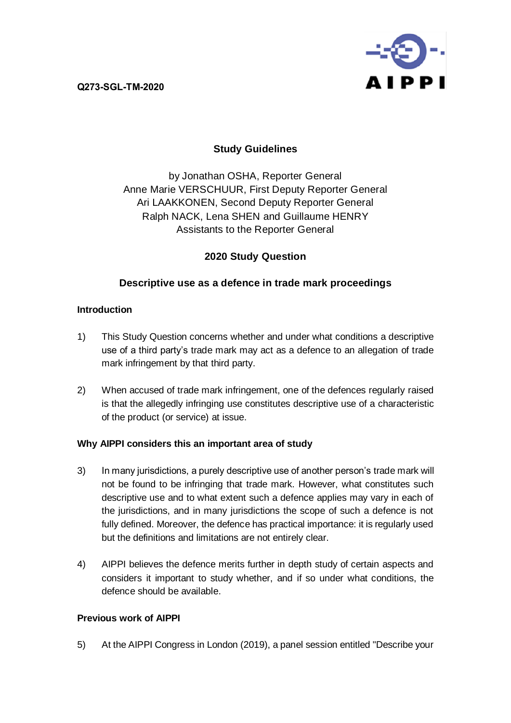**Q273-SGL-TM-2020**



## **Study Guidelines**

by Jonathan OSHA, Reporter General Anne Marie VERSCHUUR, First Deputy Reporter General Ari LAAKKONEN, Second Deputy Reporter General Ralph NACK, Lena SHEN and Guillaume HENRY Assistants to the Reporter General

## **2020 Study Question**

## **Descriptive use as a defence in trade mark proceedings**

### **Introduction**

- 1) This Study Question concerns whether and under what conditions a descriptive use of a third party's trade mark may act as a defence to an allegation of trade mark infringement by that third party.
- 2) When accused of trade mark infringement, one of the defences regularly raised is that the allegedly infringing use constitutes descriptive use of a characteristic of the product (or service) at issue.

### **Why AIPPI considers this an important area of study**

- 3) In many jurisdictions, a purely descriptive use of another person's trade mark will not be found to be infringing that trade mark. However, what constitutes such descriptive use and to what extent such a defence applies may vary in each of the jurisdictions, and in many jurisdictions the scope of such a defence is not fully defined. Moreover, the defence has practical importance: it is regularly used but the definitions and limitations are not entirely clear.
- 4) AIPPI believes the defence merits further in depth study of certain aspects and considers it important to study whether, and if so under what conditions, the defence should be available.

### **Previous work of AIPPI**

5) At the AIPPI Congress in London (2019), a panel session entitled "Describe your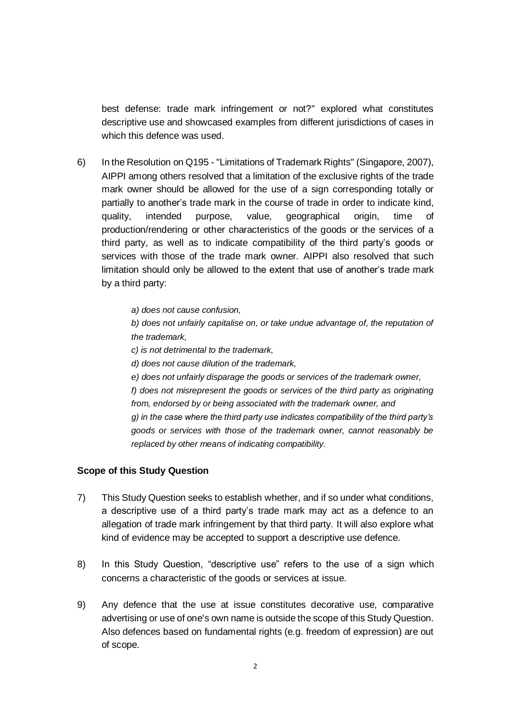best defense: trade mark infringement or not?" explored what constitutes descriptive use and showcased examples from different jurisdictions of cases in which this defence was used.

- 6) In the Resolution on Q195 "Limitations of Trademark Rights" (Singapore, 2007), AIPPI among others resolved that a limitation of the exclusive rights of the trade mark owner should be allowed for the use of a sign corresponding totally or partially to another's trade mark in the course of trade in order to indicate kind, quality, intended purpose, value, geographical origin, time of production/rendering or other characteristics of the goods or the services of a third party, as well as to indicate compatibility of the third party's goods or services with those of the trade mark owner. AIPPI also resolved that such limitation should only be allowed to the extent that use of another's trade mark by a third party:
	- *a) does not cause confusion,*

*b) does not unfairly capitalise on, or take undue advantage of, the reputation of the trademark,*

- *c) is not detrimental to the trademark,*
- *d) does not cause dilution of the trademark,*

*e) does not unfairly disparage the goods or services of the trademark owner, f) does not misrepresent the goods or services of the third party as originating from, endorsed by or being associated with the trademark owner, and g) in the case where the third party use indicates compatibility of the third party's goods or services with those of the trademark owner, cannot reasonably be replaced by other means of indicating compatibility.*

#### **Scope of this Study Question**

- 7) This Study Question seeks to establish whether, and if so under what conditions, a descriptive use of a third party's trade mark may act as a defence to an allegation of trade mark infringement by that third party. It will also explore what kind of evidence may be accepted to support a descriptive use defence.
- 8) In this Study Question, "descriptive use" refers to the use of a sign which concerns a characteristic of the goods or services at issue.
- 9) Any defence that the use at issue constitutes decorative use, comparative advertising or use of one's own name is outside the scope of this Study Question. Also defences based on fundamental rights (e.g. freedom of expression) are out of scope.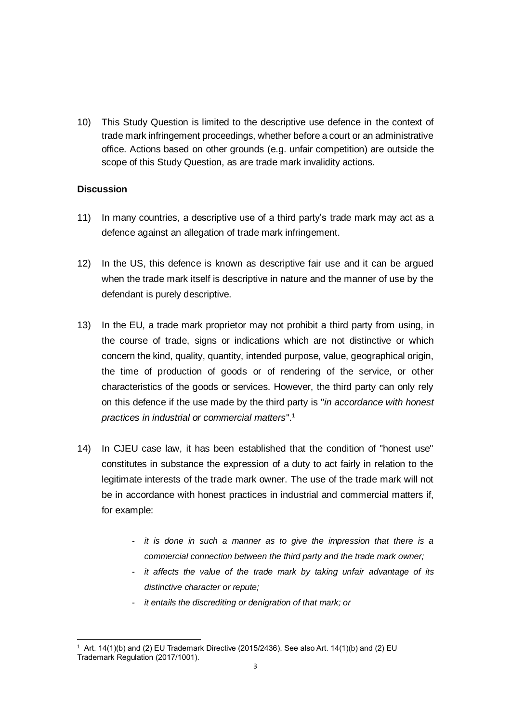10) This Study Question is limited to the descriptive use defence in the context of trade mark infringement proceedings, whether before a court or an administrative office. Actions based on other grounds (e.g. unfair competition) are outside the scope of this Study Question, as are trade mark invalidity actions.

#### **Discussion**

- 11) In many countries, a descriptive use of a third party's trade mark may act as a defence against an allegation of trade mark infringement.
- 12) In the US, this defence is known as descriptive fair use and it can be argued when the trade mark itself is descriptive in nature and the manner of use by the defendant is purely descriptive.
- 13) In the EU, a trade mark proprietor may not prohibit a third party from using, in the course of trade, signs or indications which are not distinctive or which concern the kind, quality, quantity, intended purpose, value, geographical origin, the time of production of goods or of rendering of the service, or other characteristics of the goods or services. However, the third party can only rely on this defence if the use made by the third party is "*in accordance with honest practices in industrial or commercial matters*". 1
- 14) In CJEU case law, it has been established that the condition of "honest use" constitutes in substance the expression of a duty to act fairly in relation to the legitimate interests of the trade mark owner. The use of the trade mark will not be in accordance with honest practices in industrial and commercial matters if, for example:
	- *it is done in such a manner as to give the impression that there is a commercial connection between the third party and the trade mark owner;*
	- *it affects the value of the trade mark by taking unfair advantage of its distinctive character or repute;*
	- *it entails the discrediting or denigration of that mark; or*

<sup>-</sup><sup>1</sup> Art. 14(1)(b) and (2) EU Trademark Directive (2015/2436). See also Art. 14(1)(b) and (2) EU Trademark Regulation (2017/1001).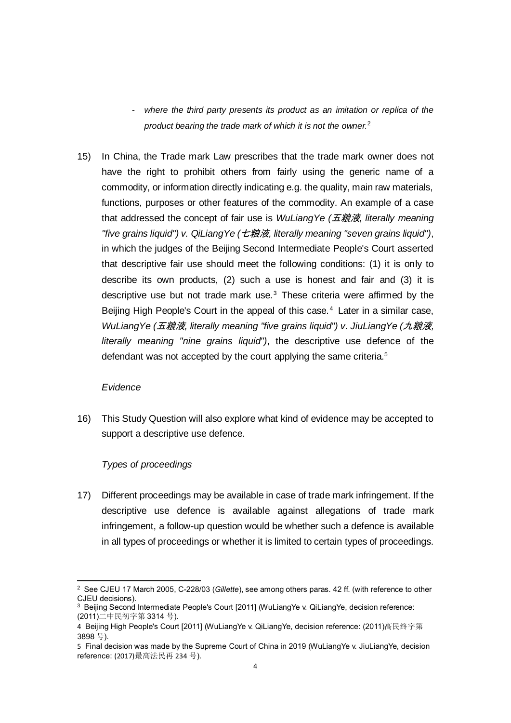- *where the third party presents its product as an imitation or replica of the product bearing the trade mark of which it is not the owner.*<sup>2</sup>
- 15) In China, the Trade mark Law prescribes that the trade mark owner does not have the right to prohibit others from fairly using the generic name of a commodity, or information directly indicating e.g. the quality, main raw materials, functions, purposes or other features of the commodity. An example of a case that addressed the concept of fair use is *WuLiangYe (*五粮液*, literally meaning "five grains liquid") v. QiLiangYe (*七粮液*, literally meaning "seven grains liquid")*, in which the judges of the Beijing Second Intermediate People's Court asserted that descriptive fair use should meet the following conditions: (1) it is only to describe its own products, (2) such a use is honest and fair and (3) it is descriptive use but not trade mark use. <sup>3</sup> These criteria were affirmed by the Beijing High People's Court in the appeal of this case.<sup>4</sup> Later in a similar case, *WuLiangYe (*五粮液*, literally meaning "five grains liquid") v. JiuLiangYe (*九粮液*, literally meaning "nine grains liquid")*, the descriptive use defence of the defendant was not accepted by the court applying the same criteria.<sup>5</sup>

#### *Evidence*

-

16) This Study Question will also explore what kind of evidence may be accepted to support a descriptive use defence.

#### *Types of proceedings*

17) Different proceedings may be available in case of trade mark infringement. If the descriptive use defence is available against allegations of trade mark infringement, a follow-up question would be whether such a defence is available in all types of proceedings or whether it is limited to certain types of proceedings.

<sup>2</sup> See CJEU 17 March 2005, C-228/03 (*Gillette*), see among others paras. 42 ff. (with reference to other CJEU decisions).

<sup>&</sup>lt;sup>3</sup> Beijing Second Intermediate People's Court [2011] (WuLiangYe v. QiLiangYe, decision reference: (2011)[二中民初字第](https://www.iphouse.cn/cases/list.html?rawdata=(2011)二中民初字第3314号) 3314 号).

<sup>4</sup> Beijing High People's Court [2011] (WuLiangYe v. QiLiangYe, decision reference: (2011)[高民终字第](https://www.iphouse.cn/cases/list.html?rawdata=(2011)高民终字第3898号) [3898](https://www.iphouse.cn/cases/list.html?rawdata=(2011)高民终字第3898号) 号).

<sup>5</sup> Final decision was made by the Supreme Court of China in 2019 (WuLiangYe v. JiuLiangYe, decision reference: (2017)最高法民再 234 号).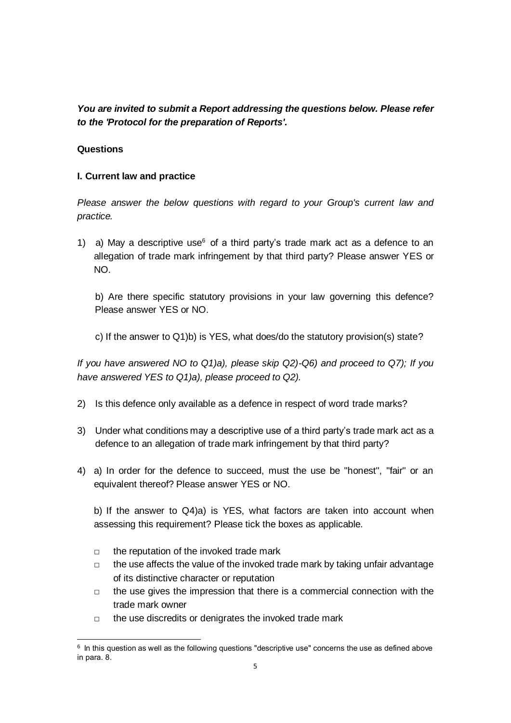*You are invited to submit a Report addressing the questions below. Please refer to the 'Protocol for the preparation of Reports'.*

### **Questions**

### **I. Current law and practice**

*Please answer the below questions with regard to your Group's current law and practice.*

1) a) May a descriptive use<sup>6</sup> of a third party's trade mark act as a defence to an allegation of trade mark infringement by that third party? Please answer YES or NO.

b) Are there specific statutory provisions in your law governing this defence? Please answer YES or NO.

c) If the answer to Q1)b) is YES, what does/do the statutory provision(s) state?

*If you have answered NO to Q1)a), please skip Q2)-Q6) and proceed to Q7); If you have answered YES to Q1)a), please proceed to Q2).*

- 2) Is this defence only available as a defence in respect of word trade marks?
- 3) Under what conditions may a descriptive use of a third party's trade mark act as a defence to an allegation of trade mark infringement by that third party?
- 4) a) In order for the defence to succeed, must the use be "honest", "fair" or an equivalent thereof? Please answer YES or NO.

b) If the answer to Q4)a) is YES, what factors are taken into account when assessing this requirement? Please tick the boxes as applicable.

- $\Box$  the reputation of the invoked trade mark
- □ the use affects the value of the invoked trade mark by taking unfair advantage of its distinctive character or reputation
- $\Box$  the use gives the impression that there is a commercial connection with the trade mark owner
- □ the use discredits or denigrates the invoked trade mark

<sup>-</sup> $6$  In this question as well as the following questions "descriptive use" concerns the use as defined above in para. 8.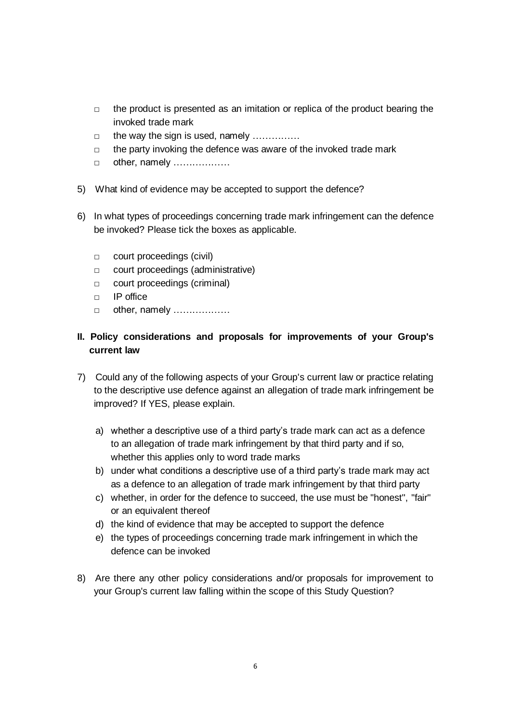- $\Box$  the product is presented as an imitation or replica of the product bearing the invoked trade mark
- □ the way the sign is used, namely ……………
- $\Box$  the party invoking the defence was aware of the invoked trade mark
- □ other, namely ………………
- 5) What kind of evidence may be accepted to support the defence?
- 6) In what types of proceedings concerning trade mark infringement can the defence be invoked? Please tick the boxes as applicable.
	- □ court proceedings (civil)
	- □ court proceedings (administrative)
	- □ court proceedings (criminal)
	- □ IP office
	- □ other, namely ………………

# **II. Policy considerations and proposals for improvements of your Group's current law**

- 7) Could any of the following aspects of your Group's current law or practice relating to the descriptive use defence against an allegation of trade mark infringement be improved? If YES, please explain.
	- a) whether a descriptive use of a third party's trade mark can act as a defence to an allegation of trade mark infringement by that third party and if so, whether this applies only to word trade marks
	- b) under what conditions a descriptive use of a third party's trade mark may act as a defence to an allegation of trade mark infringement by that third party
	- c) whether, in order for the defence to succeed, the use must be "honest", "fair" or an equivalent thereof
	- d) the kind of evidence that may be accepted to support the defence
	- e) the types of proceedings concerning trade mark infringement in which the defence can be invoked
- 8) Are there any other policy considerations and/or proposals for improvement to your Group's current law falling within the scope of this Study Question?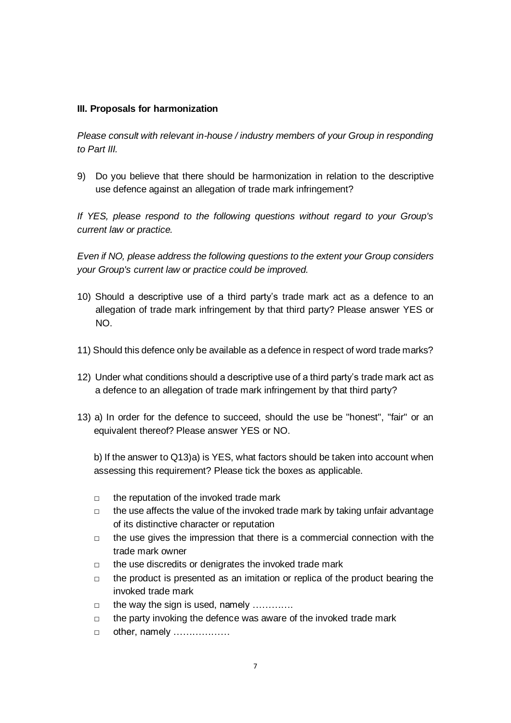### **III. Proposals for harmonization**

*Please consult with relevant in-house / industry members of your Group in responding to Part III.*

9) Do you believe that there should be harmonization in relation to the descriptive use defence against an allegation of trade mark infringement?

*If YES, please respond to the following questions without regard to your Group's current law or practice.*

*Even if NO, please address the following questions to the extent your Group considers your Group's current law or practice could be improved.*

- 10) Should a descriptive use of a third party's trade mark act as a defence to an allegation of trade mark infringement by that third party? Please answer YES or NO.
- 11) Should this defence only be available as a defence in respect of word trade marks?
- 12) Under what conditions should a descriptive use of a third party's trade mark act as a defence to an allegation of trade mark infringement by that third party?
- 13) a) In order for the defence to succeed, should the use be "honest", "fair" or an equivalent thereof? Please answer YES or NO.

b) If the answer to Q13)a) is YES, what factors should be taken into account when assessing this requirement? Please tick the boxes as applicable.

- $\Box$  the reputation of the invoked trade mark
- $\Box$  the use affects the value of the invoked trade mark by taking unfair advantage of its distinctive character or reputation
- $\Box$  the use gives the impression that there is a commercial connection with the trade mark owner
- □ the use discredits or denigrates the invoked trade mark
- $\Box$  the product is presented as an imitation or replica of the product bearing the invoked trade mark
- $\Box$  the way the sign is used, namely  $\ldots$ .........
- $\Box$  the party invoking the defence was aware of the invoked trade mark
- □ other, namely ………………